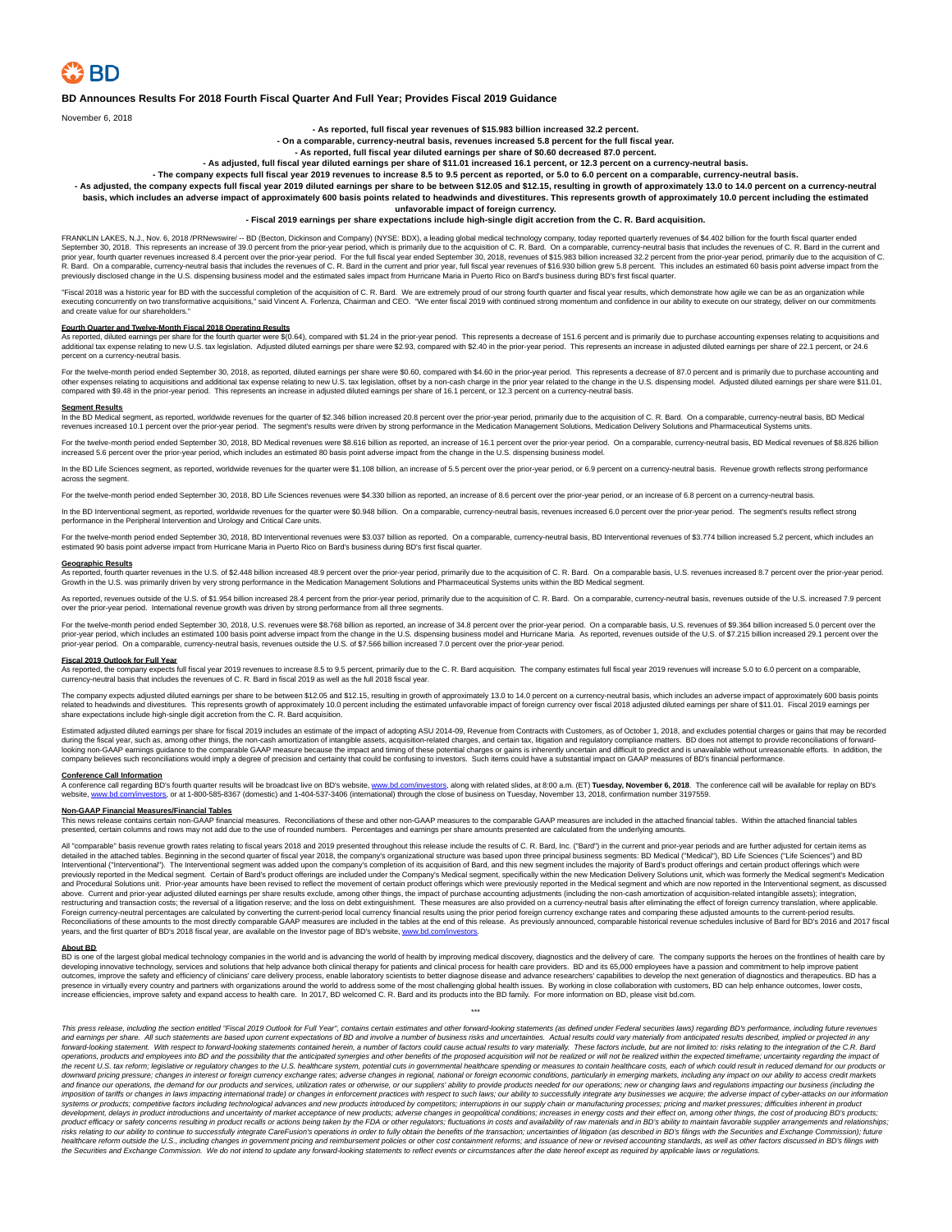## **BD Announces Results For 2018 Fourth Fiscal Quarter And Full Year; Provides Fiscal 2019 Guidance**

November 6, 2018

## **- As reported, full fiscal year revenues of \$15.983 billion increased 32.2 percent.**

**- On a comparable, currency-neutral basis, revenues increased 5.8 percent for the full fiscal year.**

# **- As reported, full fiscal year diluted earnings per share of \$0.60 decreased 87.0 percent.**

**- As adjusted, full fiscal year diluted earnings per share of \$11.01 increased 16.1 percent, or 12.3 percent on a currency-neutral basis.**

# - The company expects full fiscal year 2019 revenues to increase 8.5 to 9.5 percent as reported, or 5.0 to 6.0 percent on a comparable, currency-neutral basis.<br>As adjusted, the company expects full fiscal year 2019 diluted

**basis, which includes an adverse impact of approximately 600 basis points related to headwinds and divestitures. This represents growth of approximately 10.0 percent including the estimated**

## **unfavorable impact of foreign currency.**

## **- Fiscal 2019 earnings per share expectations include high-single digit accretion from the C. R. Bard acquisition.**

FRANKLIN LAKES, N.J., Nov. 6, 2018 /PRNewswire/ -- BD (Becton, Dickinson and Company) (NYSE: BDX), a leading global medical technology company, today reported quarterly revenues of \$4.402 billion for the fourth fiscal quar prior year, fourth quarter revenues increased 8.4 percent over the prior-year period. For the full fiscal year ended September 30, 2018, revenues of \$15.983 billion increased 32.2 percent from the prior-year period, primar

"Fiscal 2018 was a historic year for BD with the successful completion of the acquisition of C. R. Bard. We are extremely proud of our strong fourth quarter and fiscal year results, which demonstrate how agile we can be as and create value for our shareholders."

**Fourth Quarter and Twelve-Month Fiscal 2018 Operating Results**<br>As reported, diluted earnings per share for the fourth were \$(0.64), compared with \$1.24 in the prior-year period. This represents a decrease of 151.6 percent percent on a currency-neutral basis.

For the twelve-month period ended September 30, 2018, as reported, diluted earnings per share were \$0.60, compared with \$4.60 in the prior-year period. This represents a decrease of 87.0 percent and is primarily due to pur

## **Segment Results**

In the BD Medical segment, as reported, worldwide revenues for the quarter of \$2.346 billion increased 20.8 percent over the prior-year period, primarily due to the acquisition of C. R. Bard. On a comparable, currency-neut

For the twelve-month period ended September 30, 2018, BD Medical revenues were \$8.616 billion as reported, an increase of 16.1 percent over the prior-year period. On a comparable, currency-neutral basis, BD Medical revenue

In the BD Life Sciences segment, as reported, worldwide revenues for the quarter were \$1.108 billion, an increase of 5.5 percent over the prior-year period, or 6.9 percent on a currency-neutral basis. Revenue growth reflec across the segment.

For the twelve-month period ended September 30, 2018, BD Life Sciences revenues were \$4.330 billion as reported, an increase of 8.6 percent over the prior-year period, or an increase of 8.8 percent on a currency-neutral ba

In the BD Interventional segment, as reported, worldwide revenues for the quarter were \$0.948 billion. On a comparable, currency-neutral basis, revenues increased 6.0 percent over the prior-year period. The segment's resul performance ogniting the reported, intervention contracts for the quelce in the Peripheral Intervention and Urology and Critical Care units.

For the twelve-month period ended September 30, 2018, BD Interventional revenues were \$3.037 billion as reported. On a comparable, currency-neutral basis, BD Interventional revenues of \$3.774 billion increased 5.2 percent,

## **Geographic Results**

As reported, fourth quarter revenues in the U.S. of \$2.448 billion increased 48.9 percent over the prior-year period, primarily due to the acquisition of C. R. Bard. On a comparable basis, U.S. revenues increased 8.7 perce Growth in the U.S. was primarily driven by very strong performance in the Medication Management Solutions and Pharmaceutical Systems units within the BD Medical segment.

As reported, revenues outside of the U.S. of \$1.954 billion increased 28.4 percent from the prior-year period, primarily due to the acquisition of C. R. Bard. On a comparable, currency-neutral basis, revenues outside of th over the prior-year period. International revenue growth was driven by strong performance from all three segments.

For the twelve-month period ended September 30, 2018, U.S. revenues were \$8.768 billion as reported, an increase of 34.8 percent over the prior-year period. On a comparable basis, U.S. revenues of \$9.364 billion increased prior-year period, which includes an estimated 100 basis point adverse impact from the change in the U.S. dispensing business model and Hurricane Maria. As reported, revenues outside of the U.S. of \$7.215 billion increased prior-year period. On a comparable, currency-neutral basis, revenues outside the U.S. of \$7.566 billion increased 7.0 percent over the prior-year period.

**Fiscal 2019 Outlook for Full Year**<br>As reported, the company expects full fiscal year 2019 revenues to increase 8.5 to 9.5 percent, primarily due to the C. R. Bard acquisition. The company estimates full fiscal year 2019 r

The company expects adjusted diluted earnings per share to be between \$12.05 and \$12.15, resulting in growth of approximately 13.0 to 14.0 percent on a currency-neutral basis, which includes an adverse impact of approximat related to headwinds and divestitures. This represents growth of approximately 10.0 percent including the estimated unfavorable impact of foreign currency over fiscal 2018 adjusted diluted earnings per share of \$11.01. Fis

ated adjusted diluted earnings per share for fiscal 2019 includes an estimate of the impact of adopting ASU 2014-09, Revenue from Contracts with Customers, as of October 1, 2018, and excludes potential charges or gains tha during the fiscal year, such as, among other things, the non-cash amontization of intangible assets, acquisition-related charges, and certain tax, litigation and regulatory compliance matters. BD does not attempt to provid

## **Conference Call Information**

A conference call regarding BD's fourth quarter results will be broadcast live on BD's website, <u>www.bd.com/investors</u>, along with related slides, at 8:00 a.m. (ET) **Tuesday, November 6, 2018**. The conference call will be

# **Non-GAAP Financial Measures/Financial Tables**

nanono mico ano contagnation and the assures. Reconciliations of these and other non-GAAP measures to the comparable GAAP measures are included in the attached financial tables. Within the attached financial tables within presented, certain columns and rows may not add due to the use of rounded numbers. Percentages and earnings per share amounts presented are calculated from the underlying amounts.

All "comparable" basis revenue growth rates relating to fiscal years 2018 and 2019 presented throughout this release include the results of C. R. Bard, Inc. ("Bard") in the current and prior-year periods and are further ad detailed in the attached tables. Beginning in the second quarter of fiscal year 2018, the company's organizational structure was based upon three principal business segments: BD Medical ("Medical"), BD Life Sciences ("Life above. Current and prior-year adjusted diluted earnings per share results exclude, among other things, the impact of purchase accounting adjustments (including the non-cash amortization of acquisition-related intangible as Foreign currency-neutral percentages are calculated by converting the current-period local currency financial results using the prior period foreign currency exchange rates and comparing these adjusted amounts to the curre Reconciliations of these amounts to the most directly comparable GAAP measures are included in the tables at the end of this release. As previously announced, comparable historical revenue schedules inclusive of Bard for B

About BD.<br>BD is one of the largest global medical technology companies in the world and is advancing the world of health by improving medical discovery, diagnostics and the delivery of care. The company supports the heroes developing innovative technology, services and solutions that help advance both clinical therapy for patients and clinical process for health care providers. BD and its 65,000 employees have a passion and commitment to hel outcomes, improve the safety and efficiency of clinicians' care delivery process, enable laboratory scientists to better diagnose disease and advance researchers' capabilities to develop the next generation of diagnostics

\*\*\*

This press release, including the section entitled "Fiscal 2019 Outlook for Full Year", contains certain estimates and other forward-looking statements (as defined under Federal securities laws) regarding BD's performance, and earnings per share. All such statements are based upon current expectations of BD and involve a number of business risks and uncertainties. Actual results could vary materially from anticipated results described, impli operations, products and employees into BD and the possibility that the anticipated synergies and other benefits of the proposed acquisition will not be realized or will not be realized within the expected timeframe; uncer the recent U.S. tax reform; legislative or regulatory changes to the U.S. healthcare system, potential cuts in governmental healthcare spending or measures to contain healthcare costs, each of which could result in reduced systems or products; competitive factors including technological advances and new products introduced by competitors; interruptions in our supply chain or manufacturing processes; pricing and market pressures; difficulties risks relating to our ability to continue to successfully integrate CareFusion's operations in order to fully obtain the benefits of the transaction; uncertainties of litigation (as described in BD's filings with the Secur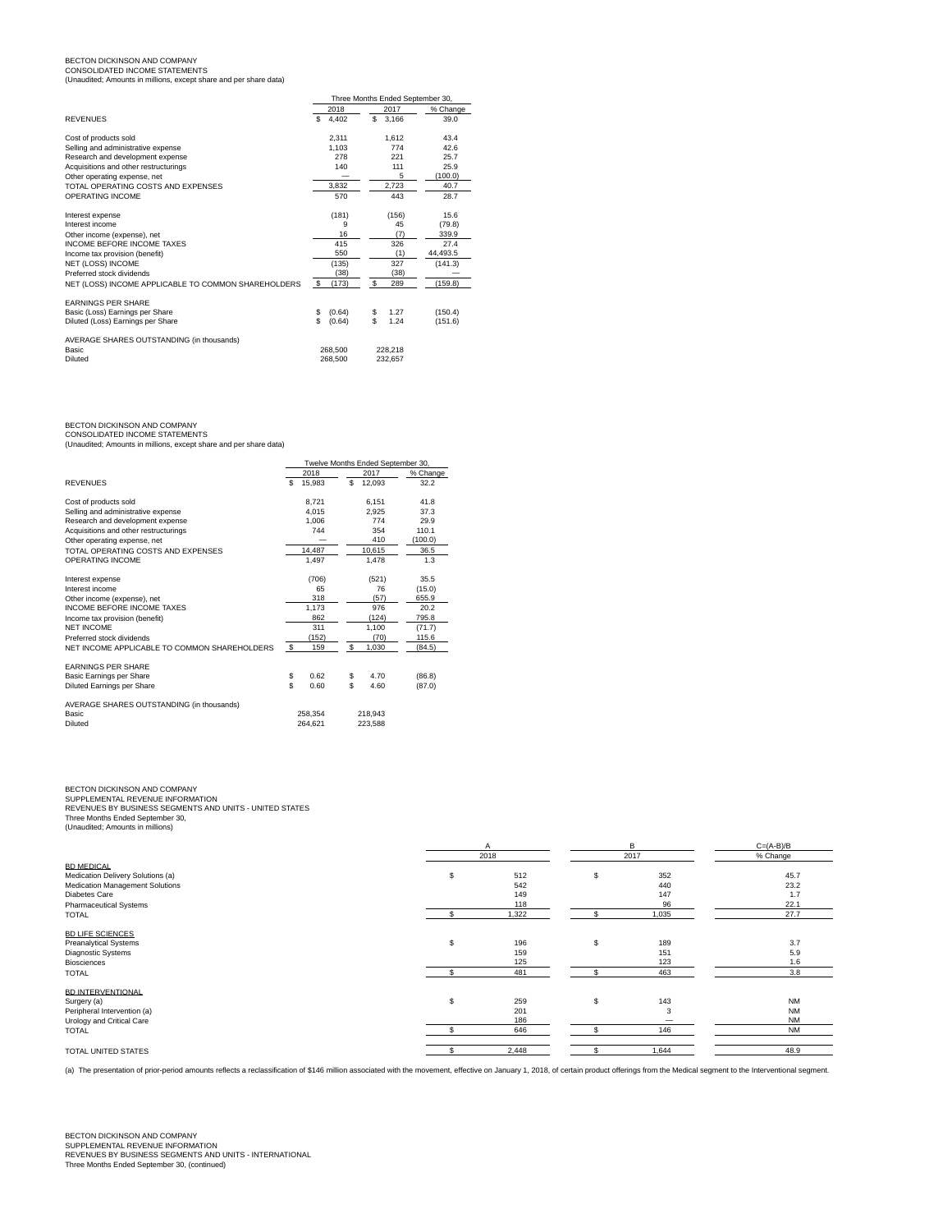BECTON DICKINSON AND COMPANY CONSOLIDATED INCOME STATEMENTS (Unaudited; Amounts in millions, except share and per share data)

|                                                     |              | Three Months Ended September 30, |          |  |  |  |  |  |  |
|-----------------------------------------------------|--------------|----------------------------------|----------|--|--|--|--|--|--|
|                                                     | 2018         | 2017                             | % Change |  |  |  |  |  |  |
| <b>REVENUES</b>                                     | \$<br>4.402  | s<br>3.166                       | 39.0     |  |  |  |  |  |  |
| Cost of products sold                               | 2,311        | 1.612                            | 43.4     |  |  |  |  |  |  |
| Selling and administrative expense                  | 1.103        | 774                              | 42.6     |  |  |  |  |  |  |
| Research and development expense                    | 278          | 221                              | 25.7     |  |  |  |  |  |  |
| Acquisitions and other restructurings               | 140          | 111                              | 25.9     |  |  |  |  |  |  |
| Other operating expense, net                        |              | 5                                | (100.0)  |  |  |  |  |  |  |
| TOTAL OPERATING COSTS AND EXPENSES                  | 3,832        | 2,723                            | 40.7     |  |  |  |  |  |  |
| OPERATING INCOME                                    | 570          | 443                              | 28.7     |  |  |  |  |  |  |
| Interest expense                                    | (181)        | (156)                            | 15.6     |  |  |  |  |  |  |
| Interest income                                     | 9            | 45                               | (79.8)   |  |  |  |  |  |  |
| Other income (expense), net                         | 16           | (7)                              | 339.9    |  |  |  |  |  |  |
| <b>INCOME BEFORE INCOME TAXES</b>                   | 415          | 326                              | 27.4     |  |  |  |  |  |  |
| Income tax provision (benefit)                      | 550          | (1)                              | 44,493.5 |  |  |  |  |  |  |
| NET (LOSS) INCOME                                   | (135)        | 327                              | (141.3)  |  |  |  |  |  |  |
| Preferred stock dividends                           | (38)         | (38)                             |          |  |  |  |  |  |  |
| NET (LOSS) INCOME APPLICABLE TO COMMON SHAREHOLDERS | s.<br>(173)  | S.<br>289                        | (159.8)  |  |  |  |  |  |  |
| <b>FARNINGS PFR SHARE</b>                           |              |                                  |          |  |  |  |  |  |  |
| Basic (Loss) Earnings per Share                     | (0.64)<br>\$ | \$<br>1.27                       | (150.4)  |  |  |  |  |  |  |
| Diluted (Loss) Earnings per Share                   | Ś<br>(0.64)  | \$<br>1.24                       | (151.6)  |  |  |  |  |  |  |
| AVERAGE SHARES OUTSTANDING (in thousands)           |              |                                  |          |  |  |  |  |  |  |
| <b>Basic</b>                                        | 268,500      | 228.218                          |          |  |  |  |  |  |  |
| Diluted                                             | 268,500      | 232.657                          |          |  |  |  |  |  |  |

BECTON DICKINSON AND COMPANY CONSOLIDATED INCOME STATEMENTS (Unaudited; Amounts in millions, except share and per share data)

|                                              | Twelve Months Ended September 30, |         |     |         |          |  |  |  |  |
|----------------------------------------------|-----------------------------------|---------|-----|---------|----------|--|--|--|--|
|                                              |                                   | 2018    |     | 2017    | % Change |  |  |  |  |
| <b>REVENUES</b>                              | \$                                | 15,983  | \$. | 12,093  | 32.2     |  |  |  |  |
| Cost of products sold                        |                                   | 8.721   |     | 6.151   | 41.8     |  |  |  |  |
| Selling and administrative expense           |                                   | 4.015   |     | 2.925   | 37.3     |  |  |  |  |
| Research and development expense             |                                   | 1.006   |     | 774     | 29.9     |  |  |  |  |
| Acquisitions and other restructurings        |                                   | 744     |     | 354     | 110.1    |  |  |  |  |
| Other operating expense, net                 |                                   |         |     | 410     | (100.0)  |  |  |  |  |
| TOTAL OPERATING COSTS AND EXPENSES           |                                   | 14.487  |     | 10,615  | 36.5     |  |  |  |  |
| OPERATING INCOME                             |                                   | 1,497   |     | 1,478   | 1.3      |  |  |  |  |
| Interest expense                             |                                   | (706)   |     | (521)   | 35.5     |  |  |  |  |
| Interest income                              |                                   | 65      |     | 76      | (15.0)   |  |  |  |  |
| Other income (expense), net                  |                                   | 318     |     | (57)    | 655.9    |  |  |  |  |
| <b>INCOME BEFORE INCOME TAXES</b>            |                                   | 1.173   |     | 976     | 20.2     |  |  |  |  |
| Income tax provision (benefit)               |                                   | 862     |     | (124)   | 795.8    |  |  |  |  |
| NET INCOME                                   |                                   | 311     |     | 1.100   | (71.7)   |  |  |  |  |
| Preferred stock dividends                    |                                   | (152)   |     | (70)    | 115.6    |  |  |  |  |
| NET INCOME APPLICABLE TO COMMON SHAREHOLDERS | \$                                | 159     | \$  | 1,030   | (84.5)   |  |  |  |  |
| <b>FARNINGS PFR SHARE</b>                    |                                   |         |     |         |          |  |  |  |  |
| Basic Earnings per Share                     | \$                                | 0.62    | \$  | 4.70    | (86.8)   |  |  |  |  |
| Diluted Earnings per Share                   | \$.                               | 0.60    | \$  | 4.60    | (87.0)   |  |  |  |  |
| AVERAGE SHARES OUTSTANDING (in thousands)    |                                   |         |     |         |          |  |  |  |  |
| Basic                                        |                                   | 258.354 |     | 218.943 |          |  |  |  |  |
| Diluted                                      |                                   | 264.621 |     | 223.588 |          |  |  |  |  |

BECTON DICKINSON AND COMPANY<br>SUPPLEMENTAL REVENUE INFORMATION<br>REVENUES BY BUSINESS SEGMENTS AND UNITS - UNITED STATES<br>Three Months Ended September 30, (Unaudited; Amounts in millions)

|                                   |   | А     | B         | $C=(A-B)/B$ |  |  |
|-----------------------------------|---|-------|-----------|-------------|--|--|
|                                   |   | 2018  | 2017      | % Change    |  |  |
| <b>BD MEDICAL</b>                 |   |       |           |             |  |  |
| Medication Delivery Solutions (a) | s | 512   | \$<br>352 | 45.7        |  |  |
| Medication Management Solutions   |   | 542   | 440       | 23.2        |  |  |
| Diabetes Care                     |   | 149   | 147       | 1.7         |  |  |
| Pharmaceutical Systems            |   | 118   | 96        | 22.1        |  |  |
| <b>TOTAL</b>                      |   | 1,322 | 1,035     | 27.7        |  |  |
| <b>BD LIFE SCIENCES</b>           |   |       |           |             |  |  |
| <b>Preanalytical Systems</b>      | s | 196   | \$<br>189 | 3.7         |  |  |
| Diagnostic Systems                |   | 159   | 151       | 5.9         |  |  |
| Biosciences                       |   | 125   | 123       | 1.6         |  |  |
| <b>TOTAL</b>                      |   | 481   | 463       | 3.8         |  |  |
| <b>BD INTERVENTIONAL</b>          |   |       |           |             |  |  |
| Surgery (a)                       | s | 259   | \$<br>143 | <b>NM</b>   |  |  |
| Peripheral Intervention (a)       |   | 201   |           | <b>NM</b>   |  |  |
| Urology and Critical Care         |   | 186   |           | <b>NM</b>   |  |  |
| <b>TOTAL</b>                      |   | 646   | 146       | <b>NM</b>   |  |  |
| TOTAL UNITED STATES               |   | 2,448 | 1,644     | 48.9        |  |  |
|                                   |   |       |           |             |  |  |

(a) The presentation of prior-period amounts reflects a reclassification of \$146 million associated with the movement, effective on January 1, 2018, of certain product offerings from the Medical segment to the Intervention

# BECTON DICKINSON AND COMPANY<br>SUPPLEMENTAL REVENUE INFORMATION<br>REVENUES BY BUSINESS SEGMENTS AND UNITS - INTERNATIONAL<br>Three Months Ended September 30, (continued)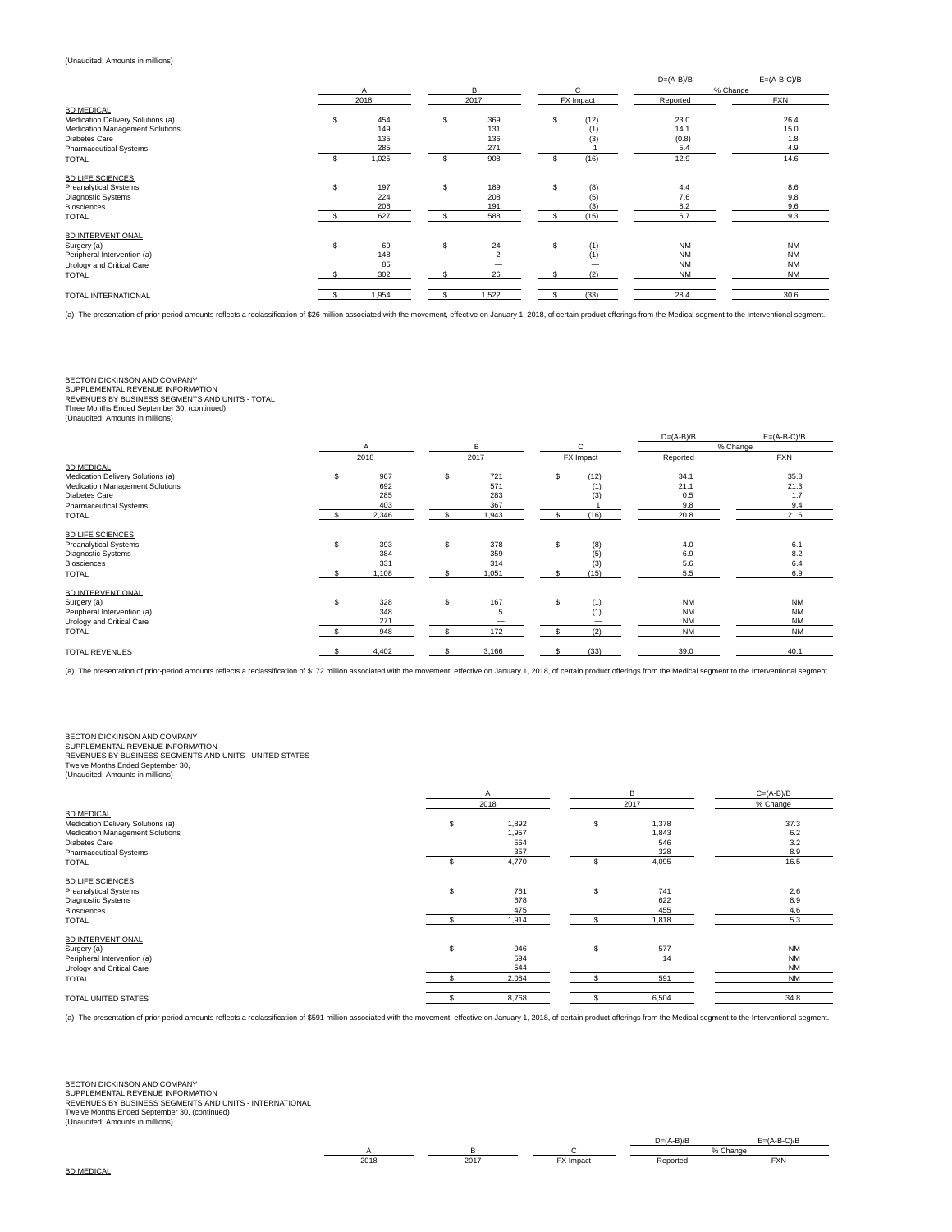# (Unaudited; Amounts in millions)

|                                   |    |       |              |                |     |           | $D=(A-B)/B$ | $E=(A-B-C)/B$ |
|-----------------------------------|----|-------|--------------|----------------|-----|-----------|-------------|---------------|
|                                   |    | Α     |              | B              |     | С         |             | % Change      |
|                                   |    | 2018  |              | 2017           |     | FX Impact | Reported    | <b>FXN</b>    |
| <b>BD MEDICAL</b>                 |    |       |              |                |     |           |             |               |
| Medication Delivery Solutions (a) | \$ | 454   | S            | 369            | s.  | (12)      | 23.0        | 26.4          |
| Medication Management Solutions   |    | 149   |              | 131            |     | (1)       | 14.1        | 15.0          |
| Diabetes Care                     |    | 135   |              | 136            |     | (3)       | (0.8)       | 1.8           |
| <b>Pharmaceutical Systems</b>     |    | 285   |              | 271            |     |           | 5.4         | 4.9           |
| <b>TOTAL</b>                      |    | 1,025 | £.           | 908            |     | (16)      | 12.9        | 14.6          |
| <b>BD LIFE SCIENCES</b>           |    |       |              |                |     |           |             |               |
| Preanalytical Systems             | \$ | 197   | s.           | 189            | s.  | (8)       | 4.4         | 8.6           |
| Diagnostic Systems                |    | 224   |              | 208            |     | (5)       | 7.6         | 9.8           |
| <b>Biosciences</b>                |    | 206   |              | 191            |     | (3)       | 8.2         | 9.6           |
| <b>TOTAL</b>                      |    | 627   |              | 588            |     | (15)      | 6.7         | 9.3           |
| <b>BD INTERVENTIONAL</b>          |    |       |              |                |     |           |             |               |
| Surgery (a)                       | \$ | 69    | s.           | 24             | S   | (1)       | <b>NM</b>   | <b>NM</b>     |
| Peripheral Intervention (a)       |    | 148   |              | $\overline{2}$ |     | (1)       | <b>NM</b>   | <b>NM</b>     |
|                                   |    | 85    |              |                |     |           | <b>NM</b>   | <b>NM</b>     |
| Urology and Critical Care         |    |       |              |                |     |           |             |               |
| <b>TOTAL</b>                      |    | 302   | $\mathbf{f}$ | 26             | \$. | (2)       | <b>NM</b>   | <b>NM</b>     |
| TOTAL INTERNATIONAL               |    | 1,954 |              | 1,522          |     | (33)      | 28.4        | 30.6          |

(a) The presentation of prior-period amounts reflects a reclassification of \$26 million associated with the movement, effective on January 1, 2018, of certain product offerings from the Medical segment to the Interventiona

# BECTON DICKINSON AND COMPANY

SUPPLEMENTAL REVENUE INFORMATION REVENUES BY BUSINESS SEGMENTS AND UNITS - TOTAL Three Months Ended September 30, (continued) (Unaudited; Amounts in millions)

|                                   |    |       |    |       |    |           | $D=(A-B)/B$ | $E=(A-B-C)/B$ |  |
|-----------------------------------|----|-------|----|-------|----|-----------|-------------|---------------|--|
|                                   |    | Α     |    | в     |    | C         |             | % Change      |  |
|                                   |    | 2018  |    | 2017  |    | FX Impact | Reported    | FXN           |  |
| <b>BD MEDICAL</b>                 |    |       |    |       |    |           |             |               |  |
| Medication Delivery Solutions (a) | s. | 967   | \$ | 721   | S  | (12)      | 34.1        | 35.8          |  |
| Medication Management Solutions   |    | 692   |    | 571   |    | (1)       | 21.1        | 21.3          |  |
| Diabetes Care                     |    | 285   |    | 283   |    | (3)       | 0.5         | 1.7           |  |
| <b>Pharmaceutical Systems</b>     |    | 403   |    | 367   |    |           | 9.8         | 9.4           |  |
| <b>TOTAL</b>                      |    | 2,346 |    | 1,943 |    | (16)      | 20.8        | 21.6          |  |
| <b>BD LIFE SCIENCES</b>           |    |       |    |       |    |           |             |               |  |
| <b>Preanalytical Systems</b>      | S  | 393   | \$ | 378   | s  | (8)       | 4.0         | 6.1           |  |
| Diagnostic Systems                |    | 384   |    | 359   |    | (5)       | 6.9         | 8.2           |  |
| <b>Biosciences</b>                |    | 331   |    | 314   |    | (3)       | 5.6         | 6.4           |  |
| <b>TOTAL</b>                      |    | 1,108 |    | 1,051 |    | (15)      | 5.5         | 6.9           |  |
| <b>BD INTERVENTIONAL</b>          |    |       |    |       |    |           |             |               |  |
| Surgery (a)                       | \$ | 328   | \$ | 167   | S. | (1)       | <b>NM</b>   | <b>NM</b>     |  |
| Peripheral Intervention (a)       |    | 348   |    | 5     |    | (1)       | <b>NM</b>   | <b>NM</b>     |  |
| Urology and Critical Care         |    | 271   |    |       |    |           | <b>NM</b>   | <b>NM</b>     |  |
| <b>TOTAL</b>                      |    | 948   |    | 172   |    | (2)       | <b>NM</b>   | <b>NM</b>     |  |
| <b>TOTAL REVENUES</b>             |    | 4,402 |    | 3,166 |    | (33)      | 39.0        | 40.1          |  |
|                                   |    |       |    |       |    |           |             |               |  |

(a) The presentation of prior-period amounts reflects a reclassification of \$172 million associated with the movement, effective on January 1, 2018, of certain product offerings from the Medical segment to the Intervention

BECTON DICKINSON AND COMPANY<br>SUPPLEMENTAL REVENUE INFORMATION<br>REVENUES BY BUSINESS SEGMENTS AND UNITS - UNITED STATES<br>Twelve Months Ended September 30,<br>(Unaudited; Amounts in millions)

|     | A     |      | B     | $C=(A-B)/B$ |  |  |
|-----|-------|------|-------|-------------|--|--|
|     |       |      |       | % Change    |  |  |
|     |       |      |       |             |  |  |
| \$  | 1,892 | \$   | 1,378 | 37.3        |  |  |
|     | 1,957 |      | 1,843 | 6.2         |  |  |
|     | 564   |      | 546   | 3.2         |  |  |
|     | 357   |      | 328   | 8.9         |  |  |
|     | 4,770 |      | 4,095 | 16.5        |  |  |
|     |       |      |       |             |  |  |
| S   | 761   | \$   | 741   | 2.6         |  |  |
|     | 678   |      | 622   | 8.9         |  |  |
|     | 475   |      | 455   | 4.6         |  |  |
|     | 1,914 |      | 1,818 | 5.3         |  |  |
|     |       |      |       |             |  |  |
| \$. | 946   | \$   | 577   | <b>NM</b>   |  |  |
|     | 594   |      | 14    | <b>NM</b>   |  |  |
|     | 544   |      |       | <b>NM</b>   |  |  |
|     | 2,084 |      | 591   | <b>NM</b>   |  |  |
|     | 8,768 |      | 6,504 | 34.8        |  |  |
|     |       | 2018 |       | 2017        |  |  |

(a) The presentation of prior-period amounts reflects a reclassification of \$591 million associated with the movement, effective on January 1, 2018, of certain product offerings from the Medical segment to the Intervention

A B B C C % Change<br>2018 - 2017 FX Impact Reported 2018 2017 FX Impact Reported FXN

 $D=(A-B)/B$   $E=(A-B-C)/B$ 

BECTON DICKINSON AND COMPANY<br>SUPPLEMENTAL REVENUE INFORMATION<br>REVENUES BY BUSINESS SEGMENTS AND UNITS - INTERNATIONAL<br>Twelve Months Ended September 30, (continued)<br>(Unaudited; Amounts in millions)

|  | BD MEDICAL |  |  |
|--|------------|--|--|
|--|------------|--|--|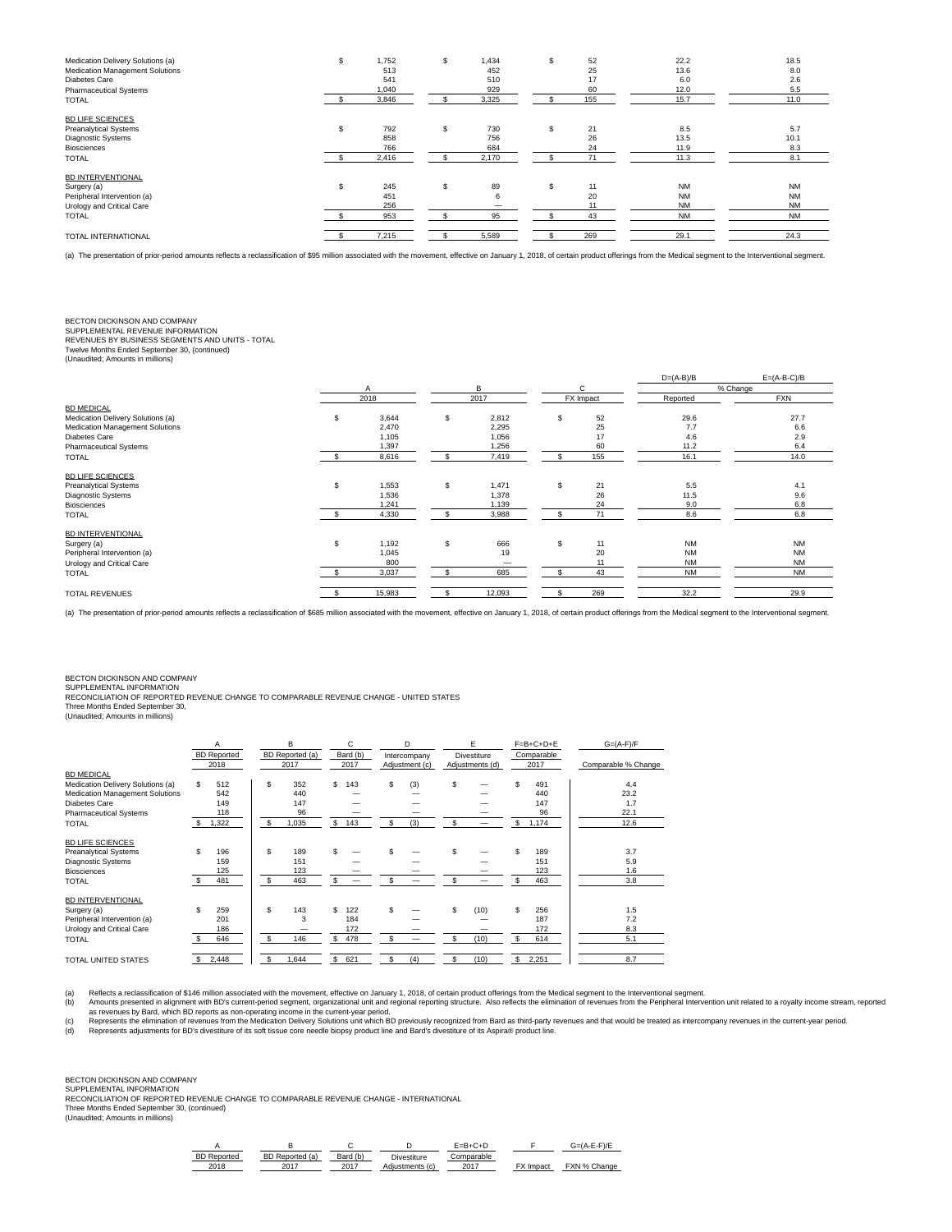| Medication Delivery Solutions (a)<br>Medication Management Solutions<br>Diabetes Care<br><b>Pharmaceutical Systems</b><br><b>TOTAL</b> | \$. | 1,752<br>513<br>541<br>1,040<br>3,846 | \$. | 1,434<br>452<br>510<br>929<br>3,325 |    | 52<br>25<br>17<br>60<br>155 | 22.2<br>13.6<br>6.0<br>12.0<br>15.7              | 18.5<br>8.0<br>2.6<br>5.5<br>11.0                |
|----------------------------------------------------------------------------------------------------------------------------------------|-----|---------------------------------------|-----|-------------------------------------|----|-----------------------------|--------------------------------------------------|--------------------------------------------------|
| <b>BD LIFE SCIENCES</b><br><b>Preanalytical Systems</b><br><b>Diagnostic Systems</b><br><b>Biosciences</b><br><b>TOTAL</b>             | \$  | 792<br>858<br>766<br>2,416            | s   | 730<br>756<br>684<br>2,170          |    | 21<br>26<br>24<br>71        | 8.5<br>13.5<br>11.9<br>11.3                      | 5.7<br>10.1<br>8.3<br>8.1                        |
| <b>BD INTERVENTIONAL</b><br>Surgery (a)<br>Peripheral Intervention (a)<br>Urology and Critical Care<br><b>TOTAL</b>                    | \$. | 245<br>451<br>256<br>953              | s   | 89<br>6<br>95                       | S. | 11<br>20<br>43              | <b>NM</b><br><b>NM</b><br><b>NM</b><br><b>NM</b> | <b>NM</b><br><b>NM</b><br><b>NM</b><br><b>NM</b> |
| TOTAL INTERNATIONAL                                                                                                                    |     | 7,215                                 |     | 5,589                               |    | 269                         | 29.1                                             | 24.3                                             |

(a) The presentation of prior-period amounts reflects a reclassification of \$95 million associated with the movement, effective on January 1, 2018, of certain product offerings from the Medical segment to the Interventiona

## BECTON DICKINSON AND COMPANY

SUPPLEMENTAL REVENUE INFORMATION

REVENUES BY BUSINESS SEGMENTS AND UNITS - TOTAL Twelve Months Ended September 30, (continued)

| (Unaudited; Amounts in millions) |  |
|----------------------------------|--|
|----------------------------------|--|

|                                   |      |        |    |        | $D=(A-B)/B$ | $E=(A-B-C)/B$ |            |
|-----------------------------------|------|--------|----|--------|-------------|---------------|------------|
|                                   |      | A      |    | B      | C           |               | % Change   |
|                                   | 2018 |        |    | 2017   | FX Impact   | Reported      | <b>FXN</b> |
| <b>BD MEDICAL</b>                 |      |        |    |        |             |               |            |
| Medication Delivery Solutions (a) | \$   | 3,644  | \$ | 2,812  | \$<br>52    | 29.6          | 27.7       |
| Medication Management Solutions   |      | 2,470  |    | 2,295  | 25          | 7.7           | 6.6        |
| Diabetes Care                     |      | 1,105  |    | 1,056  | 17          | 4.6           | 2.9        |
| <b>Pharmaceutical Systems</b>     |      | 1,397  |    | 1,256  | 60          | 11.2          | 6.4        |
| <b>TOTAL</b>                      |      | 8,616  | S  | 7,419  | 155         | 16.1          | 14.0       |
| <b>BD LIFE SCIENCES</b>           |      |        |    |        |             |               |            |
| <b>Preanalytical Systems</b>      | \$   | 1,553  | \$ | 1,471  | \$<br>21    | 5.5           | 4.1        |
| Diagnostic Systems                |      | 1,536  |    | 1,378  | 26          | 11.5          | 9.6        |
| <b>Biosciences</b>                |      | 1,241  |    | 1,139  | 24          | 9.0           | 6.8        |
| <b>TOTAL</b>                      |      | 4,330  |    | 3,988  | 71          | 8.6           | 6.8        |
| <b>BD INTERVENTIONAL</b>          |      |        |    |        |             |               |            |
| Surgery (a)                       | \$   | 1,192  | \$ | 666    | \$<br>11    | <b>NM</b>     | <b>NM</b>  |
| Peripheral Intervention (a)       |      | 1,045  |    | 19     | 20          | <b>NM</b>     | <b>NM</b>  |
| Urology and Critical Care         |      | 800    |    | -      | 11          | <b>NM</b>     | <b>NM</b>  |
| <b>TOTAL</b>                      |      | 3,037  |    | 685    | 43          | <b>NM</b>     | <b>NM</b>  |
|                                   |      |        |    |        |             |               |            |
| <b>TOTAL REVENUES</b>             |      | 15,983 |    | 12,093 | 269         | 32.2          | 29.9       |

(a) The presentation of prior-period amounts reflects a reclassification of \$685 million associated with the movement, effective on January 1, 2018, of certain product offerings from the Medical segment to the Intervention

## BECTON DICKINSON AND COMPANY SUPPLEMENTAL INFORMATION

RECONCILIATION OF REPORTED REVENUE CHANGE TO COMPARABLE REVENUE CHANGE - UNITED STATES<br>Three Months Ended September 30,<br>(Unaudited; Amounts in millions)

|                                   | Α<br><b>BD</b> Reported | в<br>BD Reported (a) | Bard (b)  | D<br>Intercompany | F<br><b>Divestiture</b> | $F = B + C + D + E$<br>Comparable | $G=(A-F)/F$         |  |
|-----------------------------------|-------------------------|----------------------|-----------|-------------------|-------------------------|-----------------------------------|---------------------|--|
|                                   | 2018                    | 2017                 | 2017      | Adjustment (c)    | Adjustments (d)         | 2017                              | Comparable % Change |  |
| <b>BD MEDICAL</b>                 |                         |                      |           |                   |                         |                                   |                     |  |
| Medication Delivery Solutions (a) | S.<br>512               | \$<br>352            | S.<br>143 | \$<br>(3)         | S                       | \$<br>491                         | 4.4                 |  |
| Medication Management Solutions   | 542                     | 440                  |           |                   |                         | 440                               | 23.2                |  |
| Diabetes Care                     | 149                     | 147                  |           |                   |                         | 147                               | 1.7                 |  |
| <b>Pharmaceutical Systems</b>     | 118                     | 96                   |           |                   |                         | 96                                | 22.1                |  |
| <b>TOTAL</b>                      | 1,322<br>s.             | 1,035<br>\$          | \$<br>143 | \$<br>(3)         | s                       | \$<br>1,174                       | 12.6                |  |
| <b>BD LIFE SCIENCES</b>           |                         |                      |           |                   |                         |                                   |                     |  |
| <b>Preanalytical Systems</b>      | \$.<br>196              | \$<br>189            |           |                   | s                       | \$<br>189                         | 3.7                 |  |
| Diagnostic Systems                | 159                     | 151                  |           |                   |                         | 151                               | 5.9                 |  |
| <b>Biosciences</b>                | 125                     | 123                  |           |                   |                         | 123                               | 1.6                 |  |
| <b>TOTAL</b>                      | 481                     | 463<br>£.            | S.        |                   |                         | \$.<br>463                        | 3.8                 |  |
| <b>BD INTERVENTIONAL</b>          |                         |                      |           |                   |                         |                                   |                     |  |
| Surgery (a)                       | \$.<br>259              | \$.<br>143           | S.<br>122 | \$                | s<br>(10)               | s<br>256                          | 1.5                 |  |
| Peripheral Intervention (a)       | 201                     | 3                    | 184       |                   |                         | 187                               | 7.2                 |  |
| Urology and Critical Care         | 186                     |                      | 172       |                   |                         | 172                               | 8.3                 |  |
| <b>TOTAL</b>                      | 646                     | $\mathbf{f}$<br>146  | S<br>478  | £.                | \$.<br>(10)             | s<br>614                          | 5.1                 |  |
| TOTAL UNITED STATES               | 2,448                   | 1,644                | S.<br>621 | (4)<br>\$         | (10)                    | s<br>2,251                        | 8.7                 |  |

Reflects a reclassification of \$146 million associated with the movement, effective on January 1, 2018, of certain product offerings from the Medical segment to the Interventional segment.<br>Althous as revenues by Bard, whic

# BECTON DICKINSON AND COMPANY SUPPLEMENTAL INFORMATION

RECONCILIATION OF REPORTED REVENUE CHANGE TO COMPARABLE REVENUE CHANGE - INTERNATIONAL

Three Months Ended September 30, (continued) (Unaudited; Amounts in millions)

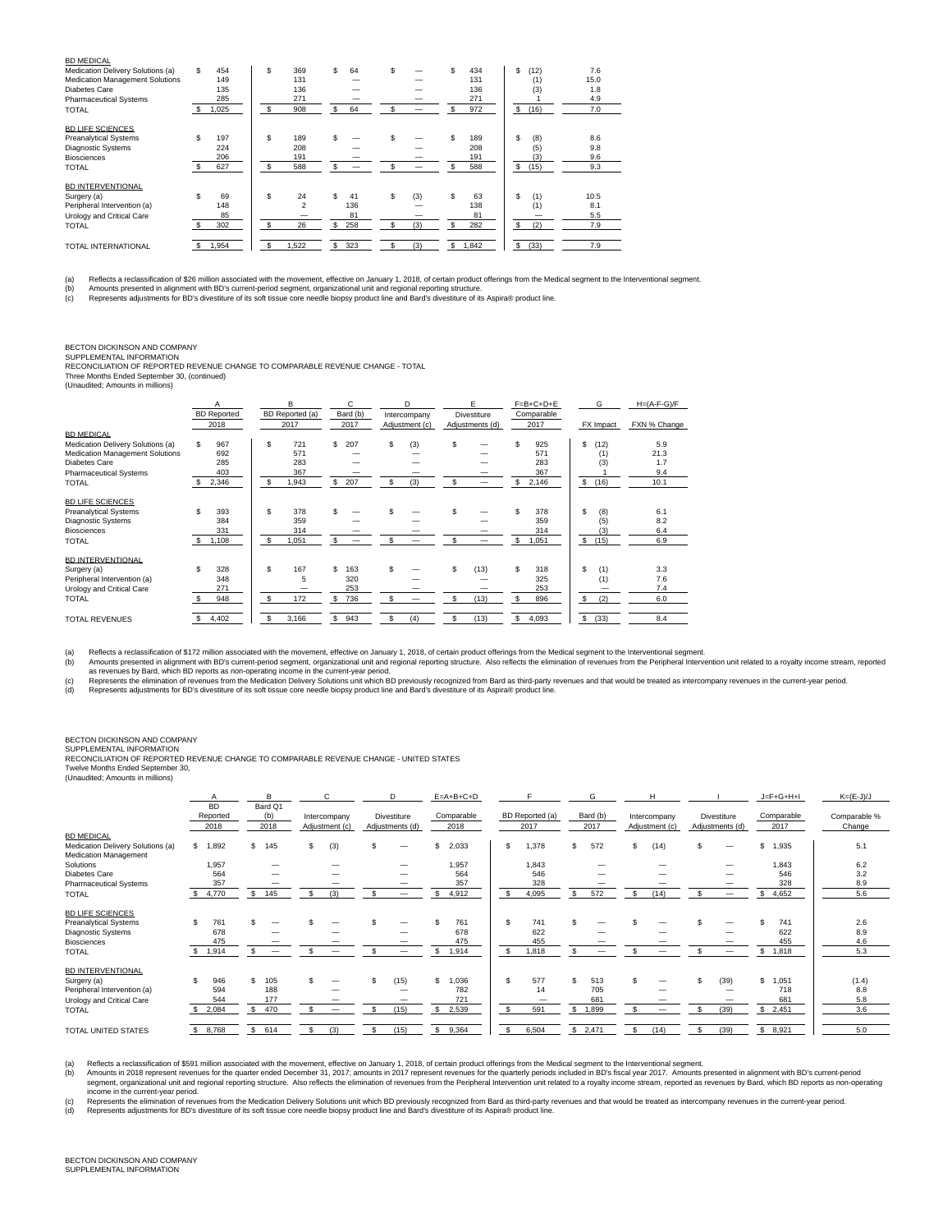| <b>BD MEDICAL</b>                 |     |       |     |                         |     |     |     |     |    |       |   |           |      |  |
|-----------------------------------|-----|-------|-----|-------------------------|-----|-----|-----|-----|----|-------|---|-----------|------|--|
| Medication Delivery Solutions (a) | \$. | 454   | \$  | 369                     | \$  | 64  | \$  |     | S. | 434   |   | s<br>(12) | 7.6  |  |
| Medication Management Solutions   |     | 149   |     | 131                     |     |     |     |     |    | 131   |   | (1)       | 15.0 |  |
| Diabetes Care                     |     | 135   |     | 136                     |     |     |     |     |    | 136   |   | (3)       | 1.8  |  |
| <b>Pharmaceutical Systems</b>     |     | 285   |     | 271                     |     |     |     |     |    | 271   |   |           | 4.9  |  |
| <b>TOTAL</b>                      |     | 1,025 | \$  | 908                     | \$. | 64  | \$  |     | S. | 972   |   | s<br>(16) | 7.0  |  |
| <b>BD LIFE SCIENCES</b>           |     |       |     |                         |     |     |     |     |    |       |   |           |      |  |
| <b>Preanalytical Systems</b>      | \$  | 197   | \$  | 189                     | \$  |     | \$  |     | Ŝ  | 189   |   | s<br>(8)  | 8.6  |  |
| <b>Diagnostic Systems</b>         |     | 224   |     | 208                     |     |     |     |     |    | 208   |   | (5)       | 9.8  |  |
| <b>Biosciences</b>                |     | 206   |     | 191                     |     |     |     |     |    | 191   |   | (3)       | 9.6  |  |
| <b>TOTAL</b>                      |     | 627   | \$. | 588                     | \$  |     | \$. |     | S  | 588   | s | (15)      | 9.3  |  |
| <b>BD INTERVENTIONAL</b>          |     |       |     |                         |     |     |     |     |    |       |   |           |      |  |
| Surgery (a)                       | \$  | 69    | \$  | 24                      | \$  | 41  | \$  | (3) | s  | 63    |   | Ŝ<br>(1)  | 10.5 |  |
| Peripheral Intervention (a)       |     | 148   |     | $\overline{\mathbf{z}}$ |     | 136 |     |     |    | 138   |   | (1)       | 8.1  |  |
| Urology and Critical Care         |     | 85    |     |                         |     | 81  |     |     |    | 81    |   |           | 5.5  |  |
| <b>TOTAL</b>                      |     | 302   | \$  | 26                      | \$  | 258 | \$  | (3) | S  | 282   | s | (2)       | 7.9  |  |
|                                   |     |       |     |                         |     |     |     |     |    |       |   |           |      |  |
| TOTAL INTERNATIONAL               |     | 1,954 |     | 1,522                   | S   | 323 | \$  | (3) | s  | 1,842 | s | (33)      | 7.9  |  |

(a) Reflects a reclassification of \$26 million associated with the movement, effective on January 1, 2018, of certain product offerings from the Medical segment to the Interventional segment.<br>(b) Amounts presented in align

## BECTON DICKINSON AND COMPANY

SUPPLEMENTAL INFORMATION RECONCILIATION OF REPORTED REVENUE CHANGE TO COMPARABLE REVENUE CHANGE - TOTAL

Three Months Ended September 30, (continued) (Unaudited; Amounts in millions)

|                                   |     | A<br><b>BD</b> Reported |     | B<br>BD Reported (a) |     | C<br>Bard (b) |     | D                              |    | E<br>Divestiture |    | $F = B + C + D + E$<br>Comparable |              | G         | $H=(A-F-G)/F$ |
|-----------------------------------|-----|-------------------------|-----|----------------------|-----|---------------|-----|--------------------------------|----|------------------|----|-----------------------------------|--------------|-----------|---------------|
|                                   |     | 2018                    |     | 2017                 |     | 2017          |     | Intercompany<br>Adjustment (c) |    | Adjustments (d)  |    | 2017                              |              | FX Impact | FXN % Change  |
| <b>BD MEDICAL</b>                 |     |                         |     |                      |     |               |     |                                |    |                  |    |                                   |              |           |               |
| Medication Delivery Solutions (a) | S.  | 967                     | s.  | 721                  | \$  | 207           | \$. | (3)                            | Ŝ  |                  | Ś  | 925                               | \$           | (12)      | 5.9           |
| Medication Management Solutions   |     | 692                     |     | 571                  |     |               |     |                                |    |                  |    | 571                               |              | (1)       | 21.3          |
| Diabetes Care                     |     | 285                     |     | 283                  |     |               |     |                                |    |                  |    | 283                               |              | (3)       | 1.7           |
| <b>Pharmaceutical Systems</b>     |     | 403                     |     | 367                  |     |               |     |                                |    |                  |    | 367                               |              |           | 9.4           |
| <b>TOTAL</b>                      |     | 2,346                   | \$. | 1,943                | -S  | 207           | \$. | (3)                            | \$ |                  | s  | 2,146                             | $\mathbb{S}$ | (16)      | 10.1          |
|                                   |     |                         |     |                      |     |               |     |                                |    |                  |    |                                   |              |           |               |
| <b>BD LIFE SCIENCES</b>           |     |                         |     |                      |     |               |     |                                |    |                  |    |                                   |              |           |               |
| <b>Preanalytical Systems</b>      | \$. | 393                     | \$  | 378                  | \$  |               |     |                                |    |                  | \$ | 378                               | \$           | (8)       | 6.1           |
| Diagnostic Systems                |     | 384                     |     | 359                  |     |               |     |                                |    |                  |    | 359                               |              | (5)       | 8.2           |
| <b>Biosciences</b>                |     | 331                     |     | 314                  |     |               |     |                                |    |                  |    | 314                               |              | (3)       | 6.4           |
| <b>TOTAL</b>                      |     | 1.108                   | \$. | 1,051                |     |               |     |                                |    |                  | S  | 1,051                             | \$           | (15)      | 6.9           |
|                                   |     |                         |     |                      |     |               |     |                                |    |                  |    |                                   |              |           |               |
| <b>BD INTERVENTIONAL</b>          |     |                         |     |                      |     |               |     |                                |    |                  |    |                                   |              |           |               |
| Surgery (a)                       | \$  | 328                     | \$  | 167                  | \$  | 163           | \$  |                                | S  | (13)             | s  | 318                               | \$           | (1)       | 3.3           |
| Peripheral Intervention (a)       |     | 348                     |     | 5                    |     | 320           |     |                                |    |                  |    | 325                               |              | (1)       | 7.6           |
| Urology and Critical Care         |     | 271                     |     |                      |     | 253           |     |                                |    |                  |    | 253                               |              |           | 7.4           |
| <b>TOTAL</b>                      |     | 948                     | \$  | 172                  | S   | 736           |     |                                | \$ | (13)             | Ś  | 896                               | \$           | (2)       | 6.0           |
|                                   |     |                         |     |                      |     |               |     |                                |    |                  |    |                                   |              |           |               |
| <b>TOTAL REVENUES</b>             |     | 4,402                   | \$  | 3.166                | \$. | 943           | \$  | (4)                            | S  | (13)             | S  | 4,093                             | \$           | (33)      | 8.4           |

(a) Reflects a reclassification of \$172 million associated with the movement, effective on January 1, 2018, of certain product offerings from the Medical segment to the Interventional segment.<br>(b) Amounts presented in alig

## BECTON DICKINSON AND COMPANY

SUPPLEMENTAL INFORMATION

RECONCILIATION OF REPORTED REVENUE CHANGE TO COMPARABLE REVENUE CHANGE - UNITED STATES Twelve Months Ended September 30,

(Unaudited; Amounts in millions)

|                                                            |                               | R                        | C.                             | D                              | $E = A + B + C + D$ |                         | G                | H                              |                                | $J = F + G + H + I$ | $K=(E-J)/J$            |
|------------------------------------------------------------|-------------------------------|--------------------------|--------------------------------|--------------------------------|---------------------|-------------------------|------------------|--------------------------------|--------------------------------|---------------------|------------------------|
|                                                            | <b>BD</b><br>Reported<br>2018 | Bard Q1<br>(b)<br>2018   | Intercompany<br>Adjustment (c) | Divestiture<br>Adjustments (d) | Comparable<br>2018  | BD Reported (a)<br>2017 | Bard (b)<br>2017 | Intercompany<br>Adjustment (c) | Divestiture<br>Adjustments (d) | Comparable<br>2017  | Comparable %<br>Change |
| <b>BD MEDICAL</b>                                          |                               |                          |                                |                                |                     |                         |                  | \$.                            |                                |                     |                        |
| Medication Delivery Solutions (a)<br>Medication Management | \$<br>1,892                   | $\mathbf{s}$<br>145      | (3)<br>\$.                     |                                | 2,033<br>\$.        | \$<br>1,378             | S.<br>572        | (14)                           | \$                             | \$<br>1,935         | 5.1                    |
| Solutions                                                  | 1,957                         |                          |                                |                                | 1,957               | 1,843                   |                  |                                |                                | .843                | 6.2                    |
| Diabetes Care                                              | 564                           |                          |                                |                                | 564                 | 546                     |                  |                                |                                | 546                 | 3.2                    |
| <b>Pharmaceutical Systems</b>                              | 357                           |                          |                                |                                | 357                 | 328                     |                  |                                |                                | 328                 | 8.9                    |
| <b>TOTAL</b>                                               | \$4,770                       | 145<br>s.                | (3)<br>£.                      |                                | 4,912               | 4,095<br>-S             | 572<br>\$.       | (14)<br>S                      |                                | 4,652<br>s.         | 5.6                    |
| <b>BD LIFE SCIENCES</b>                                    |                               |                          |                                |                                |                     |                         |                  |                                |                                |                     |                        |
| <b>Preanalytical Systems</b>                               | \$.<br>761                    |                          |                                |                                | 761                 | s.<br>741               | S                |                                |                                | 741                 | 2.6                    |
| <b>Diagnostic Systems</b>                                  | 678                           |                          |                                |                                | 678                 | 622                     |                  |                                |                                | 622                 | 8.9                    |
| <b>Biosciences</b>                                         | 475                           |                          |                                |                                | 475                 | 455                     |                  |                                |                                | 455                 | 4.6                    |
| <b>TOTAL</b>                                               | 1,914                         | $\overline{\phantom{m}}$ | –                              |                                | 1,914               | $\mathbf{s}$<br>1,818   | –                |                                |                                | s.<br>1,818         | 5.3                    |
| <b>BD INTERVENTIONAL</b>                                   |                               |                          |                                |                                |                     |                         |                  |                                |                                |                     |                        |
| Surgery (a)                                                | \$<br>946                     | \$.<br>105               |                                | (15)                           | \$<br>1,036         | s.<br>577               | \$.<br>513       | \$.                            | \$<br>(39)                     | \$<br>.051          | (1.4)                  |
| Peripheral Intervention (a)                                | 594                           | 188                      |                                |                                | 782                 | 14                      | 705              |                                |                                | 718                 | 8.8                    |
| Urology and Critical Care                                  | 544                           | 177                      |                                |                                | 721                 |                         | 681              |                                |                                | 681                 | 5.8                    |
| <b>TOTAL</b>                                               | 2,084<br>\$                   | 470<br>\$.               | -                              | (15)                           | 2,539               | \$<br>591               | S.<br>1,899      |                                | (39)                           | \$2,451             | 3.6                    |
| TOTAL UNITED STATES                                        | 8,768                         | 614                      | (3)                            | (15)                           | 9,364               | \$<br>6,504             | \$<br>2,471      | \$<br>(14)                     | (39)                           | \$8,921             | 5.0                    |

Reflects a reclassification of \$591 million associated with the movement, effective on January 1, 2010, of certain product offerings from the eigeneral to the interventional segment. One of the interventional segment of th

(d) Represents adjustments for BD's divestiture of its soft tissue core needle biopsy product line and Bard's divestiture of its Aspira® product line.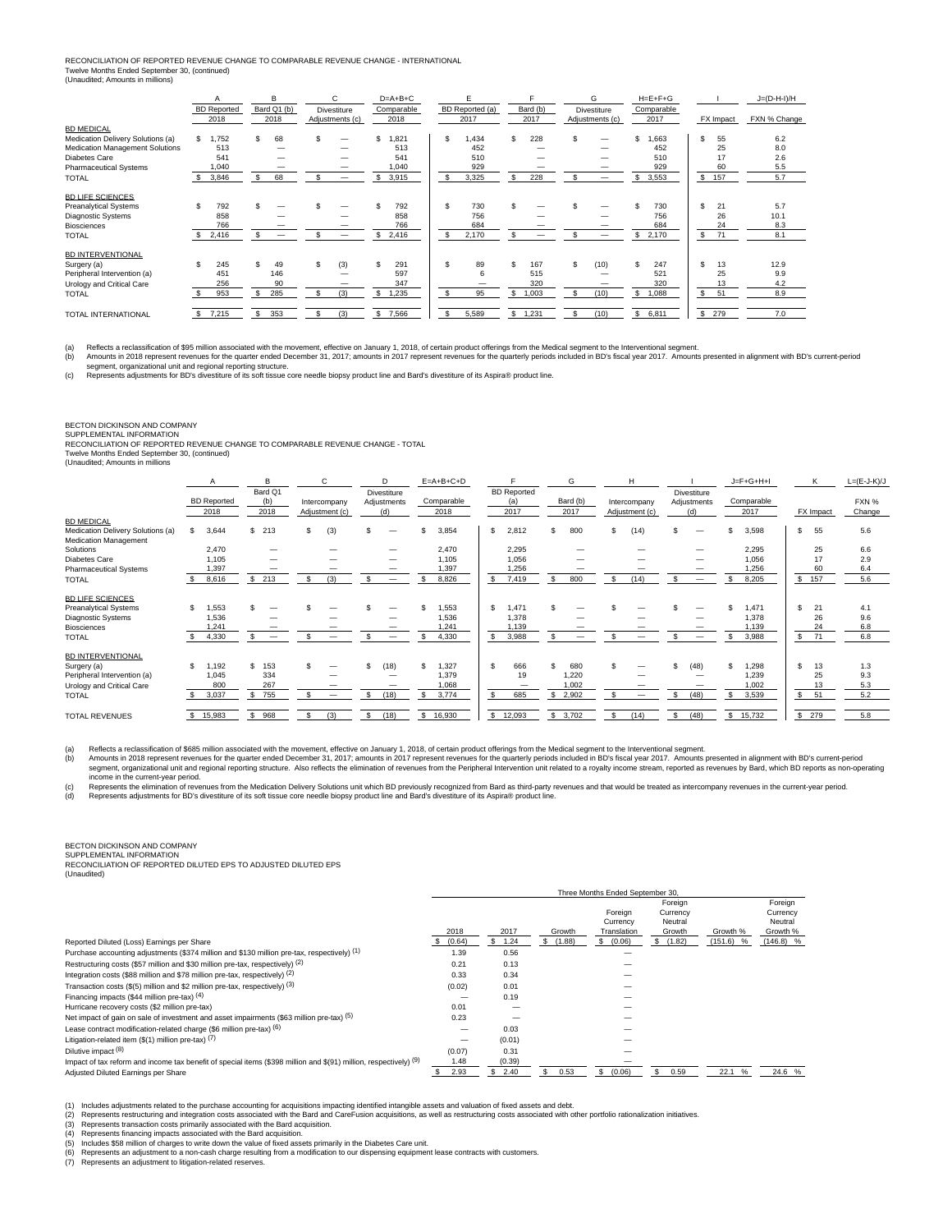## RECONCILIATION OF REPORTED REVENUE CHANGE TO COMPARABLE REVENUE CHANGE - INTERNATIONAL Twelve Months Ended September 30, (continued) (Unaudited; Amounts in millions)

|                                   |     | <b>BD</b> Reported<br>2018 |     | в<br>Bard Q1 (b)<br>2018 |     | C<br><b>Divestiture</b><br>Adjustments (c) |     | $D=A+B+C$<br>Comparable<br>2018 |    | BD Reported (a)<br>2017 |    | Bard (b)<br>2017 |     | G<br><b>Divestiture</b><br>Adjustments (c) |     | $H=E+F+G$<br>Comparable<br>2017 |    | FX Impact | $J=(D-H-I)/H$<br>FXN % Change |
|-----------------------------------|-----|----------------------------|-----|--------------------------|-----|--------------------------------------------|-----|---------------------------------|----|-------------------------|----|------------------|-----|--------------------------------------------|-----|---------------------------------|----|-----------|-------------------------------|
| <b>BD MEDICAL</b>                 |     |                            |     |                          |     |                                            |     |                                 |    |                         |    |                  |     |                                            |     |                                 |    |           |                               |
| Medication Delivery Solutions (a) | \$. | 1,752                      |     | 68                       | \$  |                                            | \$  | ,821                            | \$ | 1,434                   | \$ | 228              | Ŝ   |                                            | \$. | .663                            | \$ | 55        | 6.2                           |
| Medication Management Solutions   |     | 513                        |     |                          |     |                                            |     | 513                             |    | 452                     |    |                  |     |                                            |     | 452                             |    | 25        | 8.0                           |
| Diabetes Care                     |     | 541                        |     |                          |     |                                            |     | 541                             |    | 510                     |    |                  |     |                                            |     | 510                             |    | 17        | 2.6                           |
| <b>Pharmaceutical Systems</b>     |     | 1,040                      |     |                          |     |                                            |     | 040,                            |    | 929                     |    |                  |     |                                            |     | 929                             |    | 60        | 5.5                           |
| <b>TOTAL</b>                      | S.  | 3,846                      |     | 68                       | \$  |                                            | \$  | 3,915                           | s. | 3,325                   | S. | 228              |     | —                                          | \$  | 3,553                           | \$ | 157       | 5.7                           |
| <b>BD LIFE SCIENCES</b>           |     |                            |     |                          |     |                                            |     |                                 |    |                         |    |                  |     |                                            |     |                                 |    |           |                               |
| <b>Preanalytical Systems</b>      |     | 792                        |     |                          |     |                                            |     | 792                             | S. | 730                     |    |                  |     |                                            |     | 730                             | \$ | 21        | 5.7                           |
| Diagnostic Systems                |     | 858                        |     |                          |     |                                            |     | 858                             |    | 756                     |    |                  |     |                                            |     | 756                             |    | 26        | 10.1                          |
| <b>Biosciences</b>                |     | 766                        |     |                          |     |                                            |     | 766                             |    | 684                     |    |                  |     |                                            |     | 684                             |    | 24        | 8.3                           |
| <b>TOTAL</b>                      | S.  | 2,416                      |     |                          |     | —                                          | \$. | 2,416                           | s. | 2,170                   |    |                  |     |                                            | \$  | 2,170                           | \$ | 71        | 8.1                           |
| <b>BD INTERVENTIONAL</b>          |     |                            |     |                          |     |                                            |     |                                 |    |                         |    |                  |     |                                            |     |                                 |    |           |                               |
| Surgery (a)                       | £.  | 245                        |     | 49                       | \$. | (3)                                        | \$. | 291                             | S. | 89                      | S. | 167              | \$. | (10)                                       | S.  | 247                             | \$ | 13        | 12.9                          |
| Peripheral Intervention (a)       |     | 451                        |     | 146                      |     |                                            |     | 597                             |    | 6                       |    | 515              |     |                                            |     | 521                             |    | 25        | 9.9                           |
| Urology and Critical Care         |     | 256                        |     | 90                       |     |                                            |     | 347                             |    |                         |    | 320              |     |                                            |     | 320                             |    | 13        | 4.2                           |
| <b>TOTAL</b>                      |     | 953                        | \$. | 285                      | S.  | (3)                                        | S.  | 1,235                           | s. | 95                      | \$ | 1,003            | \$. | (10)                                       | S   | 1,088                           | s. | 51        | 8.9                           |
|                                   |     |                            |     |                          |     |                                            |     |                                 |    |                         |    |                  |     |                                            |     |                                 |    |           |                               |
| TOTAL INTERNATIONAL               | S.  | 7,215                      | \$  | 353                      | \$  | (3)                                        | S.  | 7,566                           | \$ | 5,589                   | \$ | 1,231            | Ś   | (10)                                       | \$  | 6,811                           | \$ | 279       | 7.0                           |

(a) Reflects a reclassification of \$95 million associated with the movement, effective on January 1, 2018, of certain product offerings from the Medical segment to the Interventional segment.<br>(b) Amounts in 2018 represent

# BECTON DICKINSON AND COMPANY

SUPPLEMENTAL INFORMATION<br>RECONCILIATION OF REPORTED REVENUE CHANGE TO COMPARABLE REVENUE CHANGE - TOTAL<br>Twelve Months Ended September 30, (continued)

(Unaudited; Amounts in millions

|                                   |                       | B                        | C                   | D           | $E=A+B+C+D$  |                    | G           | н              |             | $J = F + G + H + I$ | К         | $L=(E-J-K)/J$ |
|-----------------------------------|-----------------------|--------------------------|---------------------|-------------|--------------|--------------------|-------------|----------------|-------------|---------------------|-----------|---------------|
|                                   |                       | Bard Q1                  |                     | Divestiture |              | <b>BD</b> Reported |             |                | Divestiture |                     |           |               |
|                                   | <b>BD</b> Reported    | (b)                      | Intercompany        | Adjustments | Comparable   | (a)                | Bard (b)    | Intercompany   | Adjustments | Comparable          |           | FXN %         |
|                                   | 2018                  | 2018                     | Adjustment (c)      | (d)         | 2018         | 2017               | 2017        | Adjustment (c) | (d)         | 2017                | FX Impact | Change        |
| <b>BD MEDICAL</b>                 |                       |                          |                     |             |              |                    |             |                |             |                     |           |               |
| Medication Delivery Solutions (a) | 3,644                 | \$213                    | (3)<br>\$           | \$.         | 3,854<br>\$  | 2,812<br>\$        | 800<br>S.   | \$.<br>(14)    |             | 3,598<br>\$         | 55<br>s.  | 5.6           |
| Medication Management             |                       |                          |                     |             |              |                    |             |                |             |                     |           |               |
| Solutions                         | 2.470                 |                          |                     |             | 2,470        | 2,295              |             |                |             | 2,295               | 25        | 6.6           |
| Diabetes Care                     | 1,105                 |                          |                     |             | 1,105        | 1.056              |             |                |             | 1,056               | 17        | 2.9           |
| <b>Pharmaceutical Systems</b>     | 1.397                 |                          |                     |             | 1,397        | 1,256              |             |                |             | 1,256               | 60        | 6.4           |
| <b>TOTAL</b>                      | 8,616                 | \$213                    | (3)<br>$\mathbf{s}$ |             | 8,826        | 7,419<br>S.        | 800         | \$.<br>(14)    |             | 8,205               | \$ 157    | 5.6           |
|                                   |                       |                          |                     |             |              |                    |             |                |             |                     |           |               |
| <b>BD LIFE SCIENCES</b>           |                       |                          |                     |             |              |                    |             |                |             |                     |           |               |
| <b>Preanalytical Systems</b>      | $\mathbf{s}$<br>1,553 |                          |                     |             | 1.553        | .471               | \$          |                |             | 1,471               | s.<br>21  | 4.1           |
| <b>Diagnostic Systems</b>         | 1,536                 |                          |                     |             | 1,536        | 1.378              |             |                |             | 1,378               | 26        | 9.6           |
| <b>Biosciences</b>                | 1,241                 |                          |                     |             | 1,241        | .139               |             |                |             | 1,139               | 24        | 6.8           |
| <b>TOTAL</b>                      | 4,330                 | $\overline{\phantom{m}}$ |                     |             | 4,330        | 3,988              |             |                |             | 3,988               | 71<br>s.  | 6.8           |
|                                   |                       |                          |                     |             |              |                    |             |                |             |                     |           |               |
| <b>BD INTERVENTIONAL</b>          |                       |                          |                     |             |              |                    |             |                |             |                     |           |               |
| Surgery (a)                       | $\mathbf{s}$<br>1,192 | 153<br>\$.               |                     | (18)<br>\$. | 1,327<br>\$. | 666<br>\$.         | 680         |                | (48)<br>Ŝ   | 1,298<br>\$         | \$.<br>13 | 1.3           |
| Peripheral Intervention (a)       | 1,045                 | 334                      |                     |             | 1,379        | 19                 | 1.220       |                |             | 1,239               | 25        | 9.3           |
| Urology and Critical Care         | 800                   | 267                      |                     |             | 1,068        |                    | 1.002       |                |             | 1,002               | 13        | 5.3           |
| <b>TOTAL</b>                      | 3,037                 | \$ 755                   | —                   | (18)        | 3,774        | 685<br>£.          | 2,902<br>s. |                | (48)        | 3,539               | 51<br>s.  | 5.2           |
|                                   |                       |                          |                     |             |              |                    |             |                |             |                     |           |               |
| <b>TOTAL REVENUES</b>             | 15,983                | 968                      | (3)<br>\$           | (18)        | 16,930       | \$12,093           | \$3,702     | (14)<br>\$.    | s.<br>(48)  | \$15,732            | \$279     | 5.8           |

(a) Reflects a reclassification of \$685 million associated with the movement, effective on January 1, 2018, of certain product offerings from the Medical segment to the Interventional segment.<br>(b) Amounts in 2018 represent income in the current-year period.

(c) Represents the elimination of revenues from the Medication Delivery Solutions unit which BD previously recognized from Bard as third-party revenues and that would be treated as intercompany revenues in the current-year

## BECTON DICKINSON AND COMPANY

SUPPLEMENTAL INFORMATION RECONCILIATION OF REPORTED DILUTED EPS TO ADJUSTED DILUTED EPS (Unaudited)

|                                                                                                                     | Three Months Ended September 30. |             |               |                                    |                                          |             |                                            |  |
|---------------------------------------------------------------------------------------------------------------------|----------------------------------|-------------|---------------|------------------------------------|------------------------------------------|-------------|--------------------------------------------|--|
|                                                                                                                     | 2018                             | 2017        | Growth        | Foreign<br>Currency<br>Translation | Foreign<br>Currency<br>Neutral<br>Growth | Growth %    | Foreign<br>Currency<br>Neutral<br>Growth % |  |
| Reported Diluted (Loss) Earnings per Share                                                                          | (0.64)                           | 1.24<br>SS. | (1.88)<br>эh. | (0.06)<br>s.                       | \$(1.82)                                 | $(151.6)$ % | $(146.8)$ %                                |  |
| Purchase accounting adjustments (\$374 million and \$130 million pre-tax, respectively) (1)                         | 1.39                             | 0.56        |               |                                    |                                          |             |                                            |  |
| Restructuring costs (\$57 million and \$30 million pre-tax, respectively) (2)                                       | 0.21                             | 0.13        |               |                                    |                                          |             |                                            |  |
| Integration costs (\$88 million and \$78 million pre-tax, respectively) (2)                                         | 0.33                             | 0.34        |               |                                    |                                          |             |                                            |  |
| Transaction costs (\$(5) million and \$2 million pre-tax, respectively) $(3)$                                       | (0.02)                           | 0.01        |               |                                    |                                          |             |                                            |  |
| Financing impacts (\$44 million pre-tax) (4)                                                                        |                                  | 0.19        |               |                                    |                                          |             |                                            |  |
| Hurricane recovery costs (\$2 million pre-tax)                                                                      | 0.01                             |             |               |                                    |                                          |             |                                            |  |
| Net impact of gain on sale of investment and asset impairments (\$63 million pre-tax) (5)                           | 0.23                             |             |               |                                    |                                          |             |                                            |  |
| Lease contract modification-related charge (\$6 million pre-tax) (6)                                                | –                                | 0.03        |               |                                    |                                          |             |                                            |  |
| Litigation-related item $(S(1)$ million pre-tax) $(7)$                                                              |                                  | (0.01)      |               |                                    |                                          |             |                                            |  |
| Dilutive impact (8)                                                                                                 | (0.07)                           | 0.31        |               |                                    |                                          |             |                                            |  |
| Impact of tax reform and income tax benefit of special items (\$398 million and \$(91) million, respectively) $(9)$ | 1.48                             | (0.39)      |               |                                    |                                          |             |                                            |  |
| Adjusted Diluted Earnings per Share                                                                                 | 2.93                             | 2.40        | 0.53          | (0.06)<br>s                        | 0.59                                     | 22.1 %      | 24.6 %                                     |  |

(1) Includes adjustments related to the purchase accounting for acquisitions impacting identified intangible assets and valuation of fixed assets and debt.<br>(2) Represents restructuring and integration costs associated with

(6) Represents an adjustment to a non-cash charge resulting from a modification to our dispensing equipment lease contracts with customers. (7) Represents an adjustment to litigation-related reserves.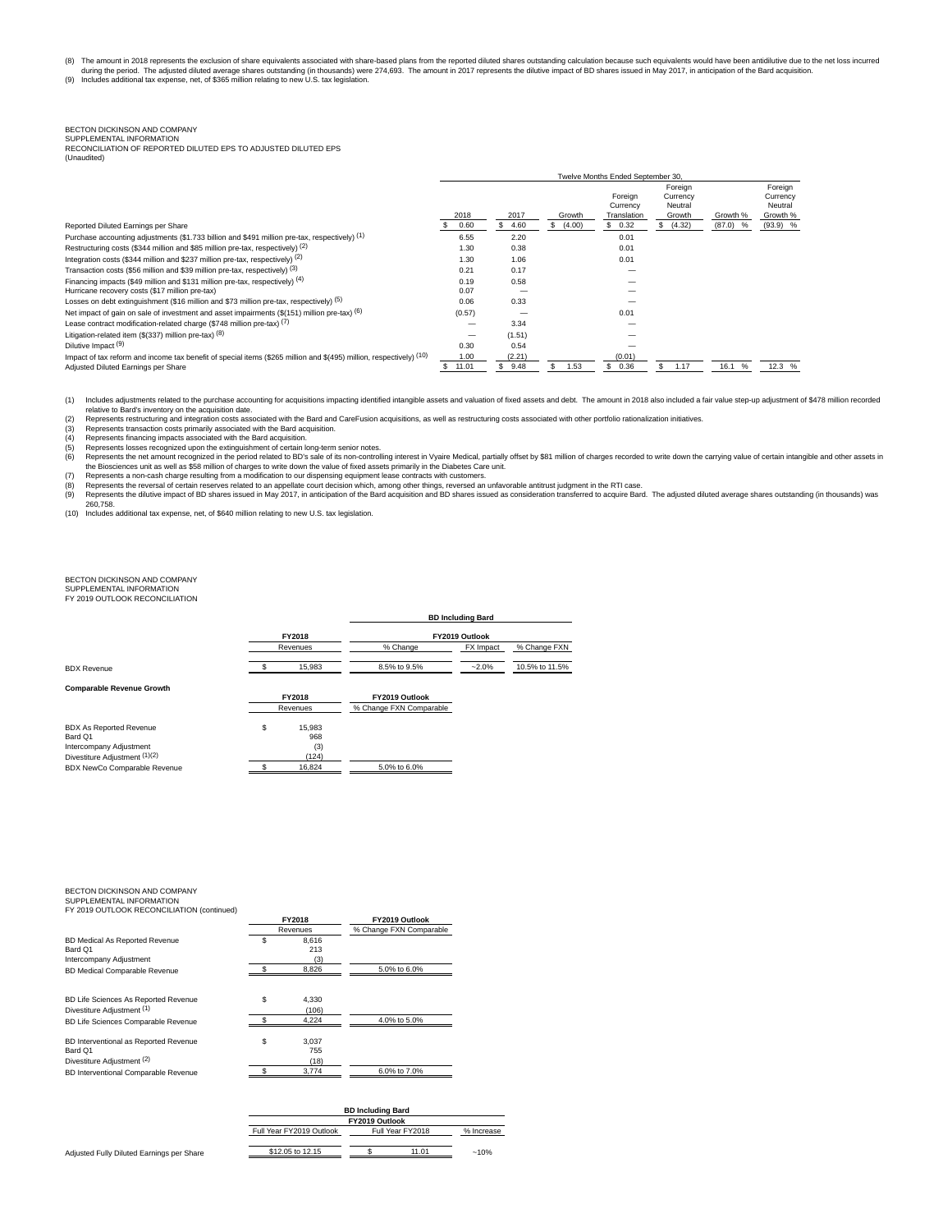(8) The amount in 2018 represents the exclusion of share equivalents associated with share-based plans from the reported diluted shares outstanding calculation because such equivalents would have been antidilutive due to t

Twelve Months Ended September 30,

## BECTON DICKINSON AND COMPANY

SUPPLEMENTAL INFORMATION RECONCILIATION OF REPORTED DILUTED EPS TO ADJUSTED DILUTED EPS

| (Unaudited) |  |
|-------------|--|
|-------------|--|

|                                                                                                                          |        |           |              | <u>I MEIAE INNIINIS FIINEN AENIEIIINEI AN</u> |                                |            |                                |
|--------------------------------------------------------------------------------------------------------------------------|--------|-----------|--------------|-----------------------------------------------|--------------------------------|------------|--------------------------------|
|                                                                                                                          |        |           |              | Foreign<br>Currency                           | Foreign<br>Currency<br>Neutral |            | Foreign<br>Currency<br>Neutral |
|                                                                                                                          | 2018   | 2017      | Growth       | Translation                                   | Growth                         | Growth %   | Growth %                       |
| Reported Diluted Earnings per Share                                                                                      | 0.60   | 4.60<br>ъ | (4.00)<br>S. | \$0.32                                        | (4.32)<br>s                    | $(87.0)$ % | $(93.9)$ %                     |
| Purchase accounting adjustments (\$1.733 billion and \$491 million pre-tax, respectively) (1)                            | 6.55   | 2.20      |              | 0.01                                          |                                |            |                                |
| Restructuring costs (\$344 million and \$85 million pre-tax, respectively) (2)                                           | 1.30   | 0.38      |              | 0.01                                          |                                |            |                                |
| Integration costs (\$344 million and \$237 million pre-tax, respectively) (2)                                            | 1.30   | 1.06      |              | 0.01                                          |                                |            |                                |
| Transaction costs (\$56 million and \$39 million pre-tax, respectively) (3)                                              | 0.21   | 0.17      |              |                                               |                                |            |                                |
| Financing impacts (\$49 million and \$131 million pre-tax, respectively) (4)                                             | 0.19   | 0.58      |              |                                               |                                |            |                                |
| Hurricane recovery costs (\$17 million pre-tax)                                                                          | 0.07   |           |              |                                               |                                |            |                                |
| Losses on debt extinguishment (\$16 million and \$73 million pre-tax, respectively) (5)                                  | 0.06   | 0.33      |              |                                               |                                |            |                                |
| Net impact of gain on sale of investment and asset impairments $(\frac{6}{151})$ million pre-tax) (6)                    | (0.57) |           |              | 0.01                                          |                                |            |                                |
| Lease contract modification-related charge (\$748 million pre-tax) (7)                                                   |        | 3.34      |              |                                               |                                |            |                                |
| Litigation-related item (\$(337) million pre-tax) $(8)$                                                                  |        | (1.51)    |              |                                               |                                |            |                                |
| Dilutive Impact <sup>(9)</sup>                                                                                           | 0.30   | 0.54      |              |                                               |                                |            |                                |
| Impact of tax reform and income tax benefit of special items $(\$265$ million and $$(495)$ million, respectively) $(10)$ | 1.00   | (2.21)    |              | (0.01)                                        |                                |            |                                |
| Adjusted Diluted Earnings per Share                                                                                      | 11.01  | 9.48      | 1.53         | 0.36                                          | 1.17                           | 16.1 %     | 12.3 %                         |

(1) Includes adjustments related to the purchase accounting for acquisitions impacting identified intangible assets and valuation of fixed assets and debt. The amount in 2018 also included a fair value step-up adjustment o relative to Bard's inventory on the acquisition date.<br>(2) Represents restructuring and integration costs associated with the Bard and CareFusion acquisitions, as well as restructuring costs associated with other portfolio

(3) Represents transaction costs primarily associated with the Bard acquisition.<br>(4) Represents financing impacts associated with the Bard acquisition.<br>(5) Represents losses recognized upon the extinguishment of certain lo

(4) Represents linacing impacts associated with the Bard acquisition.<br>(5) Represents linacing impacts associated with the Bard acquisition.<br>(6) Represents the net amount recognized in the period related to BD's sale of its

260,758.

(10) Includes additional tax expense, net, of \$640 million relating to new U.S. tax legislation.

# BECTON DICKINSON AND COMPANY SUPPLEMENTAL INFORMATION

FY 2019 OUTLOOK RECONCILIATION

| FY2018 |        |                                |           |                                            |  |  |
|--------|--------|--------------------------------|-----------|--------------------------------------------|--|--|
|        |        | % Change                       | FX Impact | % Change FXN                               |  |  |
|        | 15,983 | 8.5% to 9.5%                   | $-2.0%$   | 10.5% to 11.5%                             |  |  |
|        |        |                                |           |                                            |  |  |
|        |        | FY2019 Outlook                 |           |                                            |  |  |
|        |        | % Change FXN Comparable        |           |                                            |  |  |
| \$     | 15.983 |                                |           |                                            |  |  |
|        | 968    |                                |           |                                            |  |  |
|        | (3)    |                                |           |                                            |  |  |
|        | (124)  |                                |           |                                            |  |  |
|        | 16,824 | 5.0% to 6.0%                   |           |                                            |  |  |
|        |        | Revenues<br>FY2018<br>Revenues |           | <b>BD Including Bard</b><br>FY2019 Outlook |  |  |

BECTON DICKINSON AND COMPANY SUPPLEMENTAL INFORMATION

| FY 2019 OUTLOOK RECONCILIATION (continued) |        |          |                         |
|--------------------------------------------|--------|----------|-------------------------|
|                                            | FY2018 |          | FY2019 Outlook          |
|                                            |        | Revenues | % Change FXN Comparable |
| BD Medical As Reported Revenue             | \$     | 8.616    |                         |
| Bard Q1                                    |        | 213      |                         |
| Intercompany Adjustment                    |        | (3)      |                         |
| BD Medical Comparable Revenue              |        | 8.826    | 5.0% to 6.0%            |
| BD Life Sciences As Reported Revenue       | \$     | 4.330    |                         |
| Divestiture Adiustment (1)                 |        | (106)    |                         |
| BD Life Sciences Comparable Revenue        |        | 4.224    | 4.0% to 5.0%            |
| BD Interventional as Reported Revenue      | S      | 3.037    |                         |
| Bard Q1                                    |        | 755      |                         |
| Divestiture Adjustment (2)                 |        | (18)     |                         |
| BD Interventional Comparable Revenue       |        | 3,774    | 6.0% to 7.0%            |
|                                            |        |          |                         |

| <b>BD Including Bard</b> |                  |            |        |  |  |  |  |  |  |
|--------------------------|------------------|------------|--------|--|--|--|--|--|--|
|                          |                  |            |        |  |  |  |  |  |  |
| Full Year FY2019 Outlook | Full Year FY2018 | % Increase |        |  |  |  |  |  |  |
|                          |                  |            |        |  |  |  |  |  |  |
| \$12.05 to 12.15         |                  |            | $-10%$ |  |  |  |  |  |  |
|                          |                  |            |        |  |  |  |  |  |  |

Adjusted Fully Diluted Earnings per Share